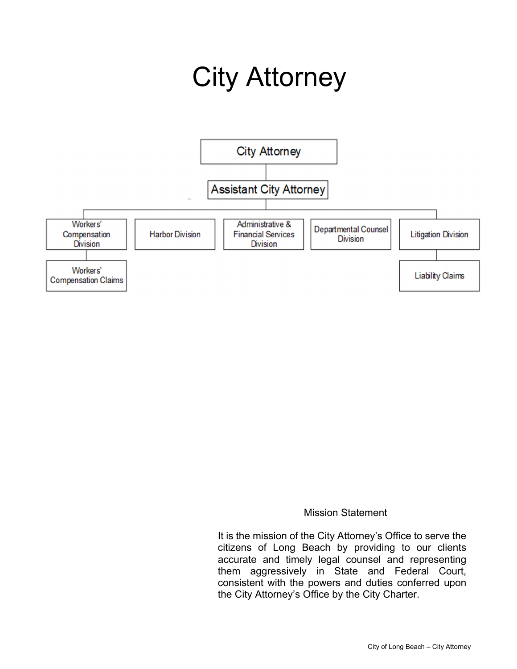# City Attorney



#### Mission Statement

 It is the mission of the City Attorney's Office to serve the citizens of Long Beach by providing to our clients accurate and timely legal counsel and representing them aggressively in State and Federal Court, consistent with the powers and duties conferred upon the City Attorney's Office by the City Charter.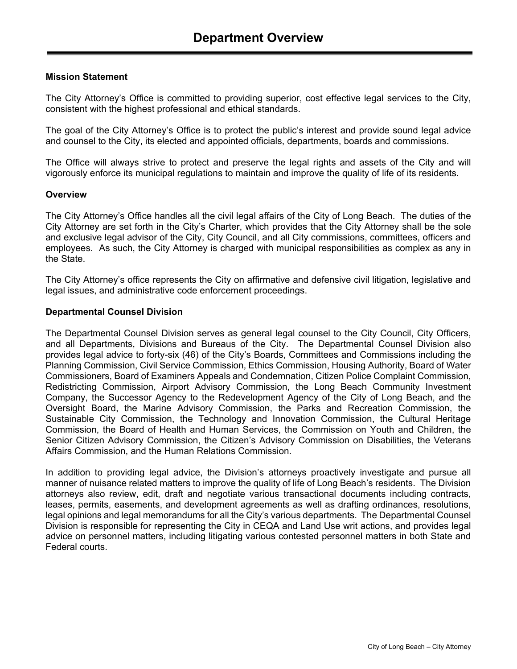#### **Mission Statement**

The City Attorney's Office is committed to providing superior, cost effective legal services to the City, consistent with the highest professional and ethical standards.

The goal of the City Attorney's Office is to protect the public's interest and provide sound legal advice and counsel to the City, its elected and appointed officials, departments, boards and commissions.

The Office will always strive to protect and preserve the legal rights and assets of the City and will vigorously enforce its municipal regulations to maintain and improve the quality of life of its residents.

#### **Overview**

The City Attorney's Office handles all the civil legal affairs of the City of Long Beach. The duties of the City Attorney are set forth in the City's Charter, which provides that the City Attorney shall be the sole and exclusive legal advisor of the City, City Council, and all City commissions, committees, officers and employees. As such, the City Attorney is charged with municipal responsibilities as complex as any in the State.

The City Attorney's office represents the City on affirmative and defensive civil litigation, legislative and legal issues, and administrative code enforcement proceedings.

#### **Departmental Counsel Division**

The Departmental Counsel Division serves as general legal counsel to the City Council, City Officers, and all Departments, Divisions and Bureaus of the City. The Departmental Counsel Division also provides legal advice to forty-six (46) of the City's Boards, Committees and Commissions including the Planning Commission, Civil Service Commission, Ethics Commission, Housing Authority, Board of Water Commissioners, Board of Examiners Appeals and Condemnation, Citizen Police Complaint Commission, Redistricting Commission, Airport Advisory Commission, the Long Beach Community Investment Company, the Successor Agency to the Redevelopment Agency of the City of Long Beach, and the Oversight Board, the Marine Advisory Commission, the Parks and Recreation Commission, the Sustainable City Commission, the Technology and Innovation Commission, the Cultural Heritage Commission, the Board of Health and Human Services, the Commission on Youth and Children, the Senior Citizen Advisory Commission, the Citizen's Advisory Commission on Disabilities, the Veterans Affairs Commission, and the Human Relations Commission.

In addition to providing legal advice, the Division's attorneys proactively investigate and pursue all manner of nuisance related matters to improve the quality of life of Long Beach's residents. The Division attorneys also review, edit, draft and negotiate various transactional documents including contracts, leases, permits, easements, and development agreements as well as drafting ordinances, resolutions, legal opinions and legal memorandums for all the City's various departments. The Departmental Counsel Division is responsible for representing the City in CEQA and Land Use writ actions, and provides legal advice on personnel matters, including litigating various contested personnel matters in both State and Federal courts.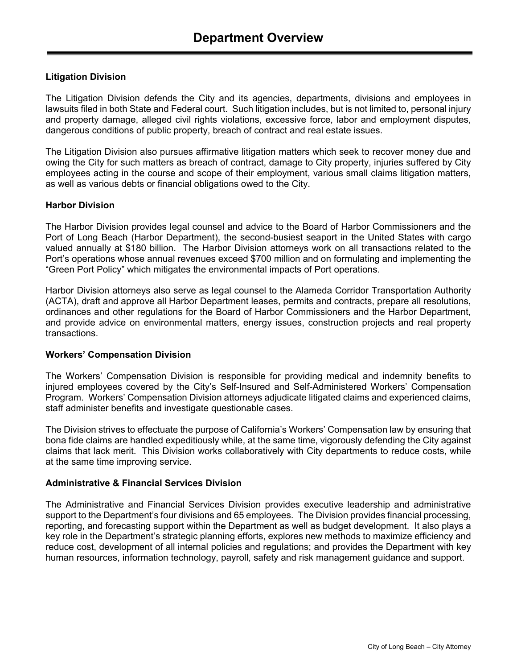#### **Litigation Division**

The Litigation Division defends the City and its agencies, departments, divisions and employees in lawsuits filed in both State and Federal court. Such litigation includes, but is not limited to, personal injury and property damage, alleged civil rights violations, excessive force, labor and employment disputes, dangerous conditions of public property, breach of contract and real estate issues.

The Litigation Division also pursues affirmative litigation matters which seek to recover money due and owing the City for such matters as breach of contract, damage to City property, injuries suffered by City employees acting in the course and scope of their employment, various small claims litigation matters, as well as various debts or financial obligations owed to the City.

#### **Harbor Division**

The Harbor Division provides legal counsel and advice to the Board of Harbor Commissioners and the Port of Long Beach (Harbor Department), the second-busiest seaport in the United States with cargo valued annually at \$180 billion. The Harbor Division attorneys work on all transactions related to the Port's operations whose annual revenues exceed \$700 million and on formulating and implementing the "Green Port Policy" which mitigates the environmental impacts of Port operations.

Harbor Division attorneys also serve as legal counsel to the Alameda Corridor Transportation Authority (ACTA), draft and approve all Harbor Department leases, permits and contracts, prepare all resolutions, ordinances and other regulations for the Board of Harbor Commissioners and the Harbor Department, and provide advice on environmental matters, energy issues, construction projects and real property transactions.

#### **Workers' Compensation Division**

The Workers' Compensation Division is responsible for providing medical and indemnity benefits to injured employees covered by the City's Self-Insured and Self-Administered Workers' Compensation Program. Workers' Compensation Division attorneys adjudicate litigated claims and experienced claims, staff administer benefits and investigate questionable cases.

The Division strives to effectuate the purpose of California's Workers' Compensation law by ensuring that bona fide claims are handled expeditiously while, at the same time, vigorously defending the City against claims that lack merit. This Division works collaboratively with City departments to reduce costs, while at the same time improving service.

#### **Administrative & Financial Services Division**

The Administrative and Financial Services Division provides executive leadership and administrative support to the Department's four divisions and 65 employees. The Division provides financial processing, reporting, and forecasting support within the Department as well as budget development. It also plays a key role in the Department's strategic planning efforts, explores new methods to maximize efficiency and reduce cost, development of all internal policies and regulations; and provides the Department with key human resources, information technology, payroll, safety and risk management guidance and support.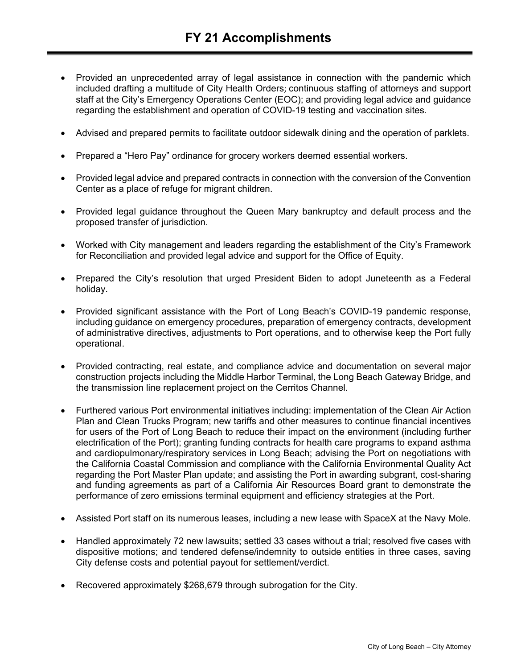- Provided an unprecedented array of legal assistance in connection with the pandemic which included drafting a multitude of City Health Orders; continuous staffing of attorneys and support staff at the City's Emergency Operations Center (EOC); and providing legal advice and guidance regarding the establishment and operation of COVID-19 testing and vaccination sites.
- Advised and prepared permits to facilitate outdoor sidewalk dining and the operation of parklets.
- Prepared a "Hero Pay" ordinance for grocery workers deemed essential workers.
- Provided legal advice and prepared contracts in connection with the conversion of the Convention Center as a place of refuge for migrant children.
- Provided legal guidance throughout the Queen Mary bankruptcy and default process and the proposed transfer of jurisdiction.
- Worked with City management and leaders regarding the establishment of the City's Framework for Reconciliation and provided legal advice and support for the Office of Equity.
- Prepared the City's resolution that urged President Biden to adopt Juneteenth as a Federal holiday.
- Provided significant assistance with the Port of Long Beach's COVID-19 pandemic response, including guidance on emergency procedures, preparation of emergency contracts, development of administrative directives, adjustments to Port operations, and to otherwise keep the Port fully operational.
- Provided contracting, real estate, and compliance advice and documentation on several major construction projects including the Middle Harbor Terminal, the Long Beach Gateway Bridge, and the transmission line replacement project on the Cerritos Channel.
- Furthered various Port environmental initiatives including: implementation of the Clean Air Action Plan and Clean Trucks Program; new tariffs and other measures to continue financial incentives for users of the Port of Long Beach to reduce their impact on the environment (including further electrification of the Port); granting funding contracts for health care programs to expand asthma and cardiopulmonary/respiratory services in Long Beach; advising the Port on negotiations with the California Coastal Commission and compliance with the California Environmental Quality Act regarding the Port Master Plan update; and assisting the Port in awarding subgrant, cost-sharing and funding agreements as part of a California Air Resources Board grant to demonstrate the performance of zero emissions terminal equipment and efficiency strategies at the Port.
- Assisted Port staff on its numerous leases, including a new lease with SpaceX at the Navy Mole.
- Handled approximately 72 new lawsuits; settled 33 cases without a trial; resolved five cases with dispositive motions; and tendered defense/indemnity to outside entities in three cases, saving City defense costs and potential payout for settlement/verdict.
- Recovered approximately \$268,679 through subrogation for the City.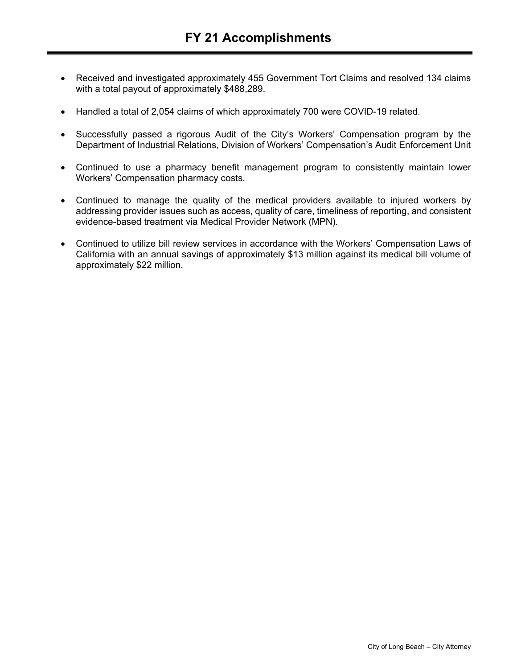- Received and investigated approximately 455 Government Tort Claims and resolved 134 claims with a total payout of approximately \$488,289.
- Handled a total of 2,054 claims of which approximately 700 were COVID-19 related.
- Successfully passed a rigorous Audit of the City's Workers' Compensation program by the Department of Industrial Relations, Division of Workers' Compensation's Audit Enforcement Unit
- Continued to use a pharmacy benefit management program to consistently maintain lower Workers' Compensation pharmacy costs.
- Continued to manage the quality of the medical providers available to injured workers by addressing provider issues such as access, quality of care, timeliness of reporting, and consistent evidence-based treatment via Medical Provider Network (MPN).
- Continued to utilize bill review services in accordance with the Workers' Compensation Laws of California with an annual savings of approximately \$13 million against its medical bill volume of approximately \$22 million.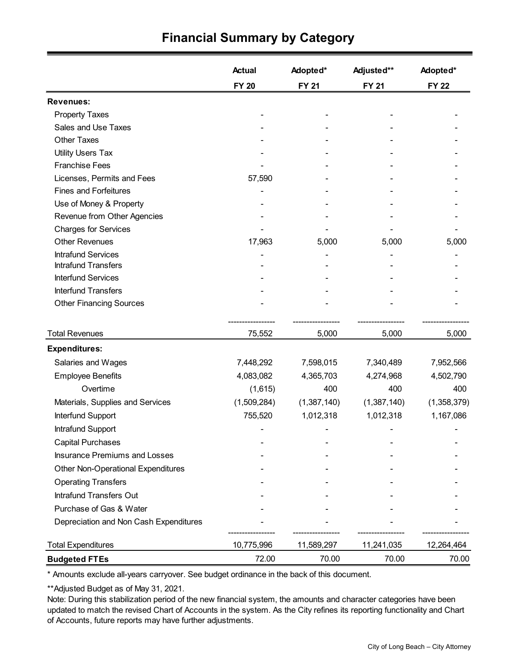|                                           | <b>Actual</b> | Adopted*     | Adjusted**   | Adopted*     |
|-------------------------------------------|---------------|--------------|--------------|--------------|
|                                           | <b>FY 20</b>  | <b>FY 21</b> | <b>FY 21</b> | <b>FY 22</b> |
| <b>Revenues:</b>                          |               |              |              |              |
| <b>Property Taxes</b>                     |               |              |              |              |
| Sales and Use Taxes                       |               |              |              |              |
| <b>Other Taxes</b>                        |               |              |              |              |
| <b>Utility Users Tax</b>                  |               |              |              |              |
| <b>Franchise Fees</b>                     |               |              |              |              |
| Licenses, Permits and Fees                | 57,590        |              |              |              |
| <b>Fines and Forfeitures</b>              |               |              |              |              |
| Use of Money & Property                   |               |              |              |              |
| Revenue from Other Agencies               |               |              |              |              |
| <b>Charges for Services</b>               |               |              |              |              |
| <b>Other Revenues</b>                     | 17,963        | 5,000        | 5,000        | 5,000        |
| <b>Intrafund Services</b>                 |               |              |              |              |
| <b>Intrafund Transfers</b>                |               |              |              |              |
| <b>Interfund Services</b>                 |               |              |              |              |
| <b>Interfund Transfers</b>                |               |              |              |              |
| <b>Other Financing Sources</b>            |               |              |              |              |
| <b>Total Revenues</b>                     | 75,552        | 5,000        | 5,000        | 5,000        |
| <b>Expenditures:</b>                      |               |              |              |              |
| Salaries and Wages                        | 7,448,292     | 7,598,015    | 7,340,489    | 7,952,566    |
| <b>Employee Benefits</b>                  | 4,083,082     | 4,365,703    | 4,274,968    | 4,502,790    |
| Overtime                                  | (1,615)       | 400          | 400          | 400          |
| Materials, Supplies and Services          | (1,509,284)   | (1,387,140)  | (1,387,140)  | (1,358,379)  |
| Interfund Support                         | 755,520       | 1,012,318    | 1,012,318    | 1,167,086    |
| Intrafund Support                         |               |              |              |              |
| <b>Capital Purchases</b>                  |               |              |              |              |
| <b>Insurance Premiums and Losses</b>      |               |              |              |              |
| <b>Other Non-Operational Expenditures</b> |               |              |              |              |
| <b>Operating Transfers</b>                |               |              |              |              |
| Intrafund Transfers Out                   |               |              |              |              |
| Purchase of Gas & Water                   |               |              |              |              |
| Depreciation and Non Cash Expenditures    |               |              |              |              |
| <b>Total Expenditures</b>                 | 10,775,996    | 11,589,297   | 11,241,035   | 12,264,464   |
| <b>Budgeted FTEs</b>                      | 72.00         | 70.00        | 70.00        | 70.00        |

### **Financial Summary by Category**

\* Amounts exclude all-years carryover. See budget ordinance in the back of this document.

\*\*Adjusted Budget as of May 31, 2021.

Note: During this stabilization period of the new financial system, the amounts and character categories have been updated to match the revised Chart of Accounts in the system. As the City refines its reporting functionality and Chart of Accounts, future reports may have further adjustments.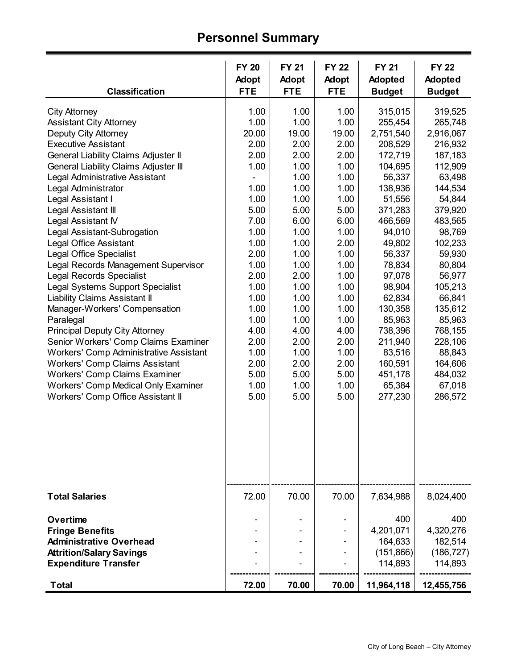## **Personnel Summary**

| <b>Classification</b>                                                                                                                                                                                                                                                                                                                                                                                                                                                                                                                                                                                                                                                                                                                                                                                                                                                                                                                                            | <b>FY 20</b><br><b>Adopt</b><br><b>FTE</b>                                                                                                                                                                    | <b>FY 21</b><br><b>Adopt</b><br><b>FTE</b>                                                                                                                                                                            | <b>FY 22</b><br><b>Adopt</b><br><b>FTE</b>                                                                                                                                                                            | <b>FY 21</b><br><b>Adopted</b><br><b>Budget</b>                                                                                                                                                                                                                                             | <b>FY 22</b><br>Adopted<br><b>Budget</b>                                                                                                                                                                                                                                                      |
|------------------------------------------------------------------------------------------------------------------------------------------------------------------------------------------------------------------------------------------------------------------------------------------------------------------------------------------------------------------------------------------------------------------------------------------------------------------------------------------------------------------------------------------------------------------------------------------------------------------------------------------------------------------------------------------------------------------------------------------------------------------------------------------------------------------------------------------------------------------------------------------------------------------------------------------------------------------|---------------------------------------------------------------------------------------------------------------------------------------------------------------------------------------------------------------|-----------------------------------------------------------------------------------------------------------------------------------------------------------------------------------------------------------------------|-----------------------------------------------------------------------------------------------------------------------------------------------------------------------------------------------------------------------|---------------------------------------------------------------------------------------------------------------------------------------------------------------------------------------------------------------------------------------------------------------------------------------------|-----------------------------------------------------------------------------------------------------------------------------------------------------------------------------------------------------------------------------------------------------------------------------------------------|
| <b>City Attorney</b><br><b>Assistant City Attorney</b><br><b>Deputy City Attorney</b><br><b>Executive Assistant</b><br><b>General Liability Claims Adjuster II</b><br><b>General Liability Claims Adjuster III</b><br>Legal Administrative Assistant<br>Legal Administrator<br>Legal Assistant I<br>Legal Assistant III<br>Legal Assistant IV<br>Legal Assistant-Subrogation<br><b>Legal Office Assistant</b><br><b>Legal Office Specialist</b><br>Legal Records Management Supervisor<br><b>Legal Records Specialist</b><br><b>Legal Systems Support Specialist</b><br><b>Liability Claims Assistant II</b><br>Manager-Workers' Compensation<br>Paralegal<br><b>Principal Deputy City Attorney</b><br>Senior Workers' Comp Claims Examiner<br><b>Workers' Comp Administrative Assistant</b><br><b>Workers' Comp Claims Assistant</b><br><b>Workers' Comp Claims Examiner</b><br><b>Workers' Comp Medical Only Examiner</b><br>Workers' Comp Office Assistant II | 1.00<br>1.00<br>20.00<br>2.00<br>2.00<br>1.00<br>1.00<br>1.00<br>5.00<br>7.00<br>1.00<br>1.00<br>2.00<br>1.00<br>2.00<br>1.00<br>1.00<br>1.00<br>1.00<br>4.00<br>2.00<br>1.00<br>2.00<br>5.00<br>1.00<br>5.00 | 1.00<br>1.00<br>19.00<br>2.00<br>2.00<br>1.00<br>1.00<br>1.00<br>1.00<br>5.00<br>6.00<br>1.00<br>1.00<br>1.00<br>1.00<br>2.00<br>1.00<br>1.00<br>1.00<br>1.00<br>4.00<br>2.00<br>1.00<br>2.00<br>5.00<br>1.00<br>5.00 | 1.00<br>1.00<br>19.00<br>2.00<br>2.00<br>1.00<br>1.00<br>1.00<br>1.00<br>5.00<br>6.00<br>1.00<br>2.00<br>1.00<br>1.00<br>1.00<br>1.00<br>1.00<br>1.00<br>1.00<br>4.00<br>2.00<br>1.00<br>2.00<br>5.00<br>1.00<br>5.00 | 315,015<br>255,454<br>2,751,540<br>208,529<br>172,719<br>104,695<br>56,337<br>138,936<br>51,556<br>371,283<br>466,569<br>94,010<br>49,802<br>56,337<br>78,834<br>97,078<br>98,904<br>62,834<br>130,358<br>85,963<br>738,396<br>211,940<br>83,516<br>160,591<br>451,178<br>65,384<br>277,230 | 319,525<br>265,748<br>2,916,067<br>216,932<br>187,183<br>112,909<br>63,498<br>144,534<br>54,844<br>379,920<br>483,565<br>98,769<br>102,233<br>59,930<br>80,804<br>56,977<br>105,213<br>66,841<br>135,612<br>85,963<br>768,155<br>228,106<br>88,843<br>164,606<br>484,032<br>67,018<br>286,572 |
| <b>Total Salaries</b><br><b>Overtime</b><br><b>Fringe Benefits</b><br><b>Administrative Overhead</b><br><b>Attrition/Salary Savings</b><br><b>Expenditure Transfer</b>                                                                                                                                                                                                                                                                                                                                                                                                                                                                                                                                                                                                                                                                                                                                                                                           | 72.00                                                                                                                                                                                                         | 70.00                                                                                                                                                                                                                 | 70.00                                                                                                                                                                                                                 | 7,634,988<br>400<br>4,201,071<br>164,633<br>(151,866)<br>114,893                                                                                                                                                                                                                            | 8,024,400<br>400<br>4,320,276<br>182,514<br>(186, 727)<br>114,893                                                                                                                                                                                                                             |
| <b>Total</b>                                                                                                                                                                                                                                                                                                                                                                                                                                                                                                                                                                                                                                                                                                                                                                                                                                                                                                                                                     | 72.00                                                                                                                                                                                                         | 70.00                                                                                                                                                                                                                 | 70.00                                                                                                                                                                                                                 | 11,964,118                                                                                                                                                                                                                                                                                  | 12,455,756                                                                                                                                                                                                                                                                                    |